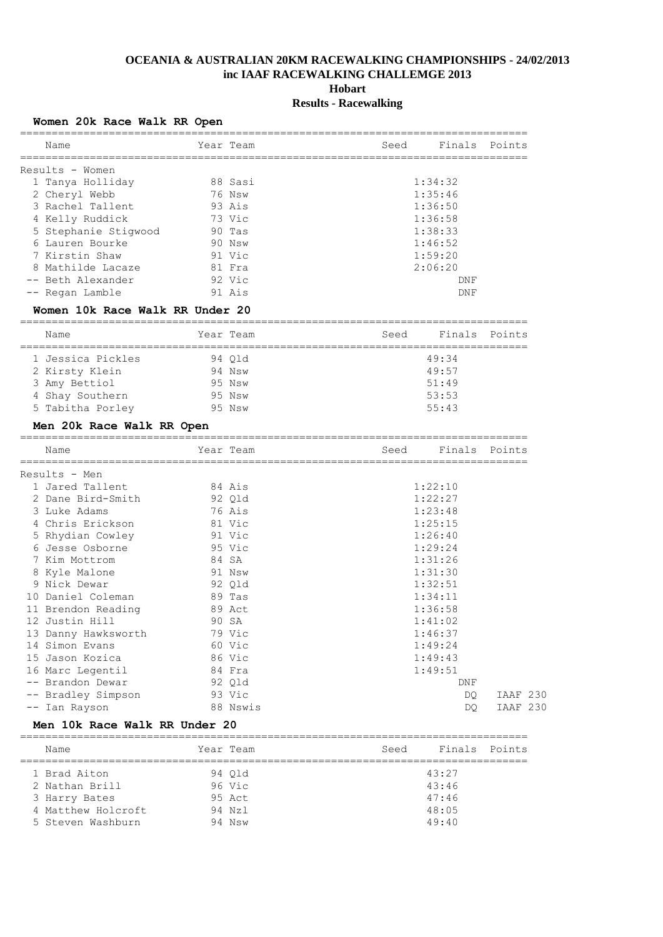# **OCEANIA & AUSTRALIAN 20KM RACEWALKING CHAMPIONSHIPS - 24/02/2013 inc IAAF RACEWALKING CHALLEMGE 2013**

**Hobart**

## **Results - Racewalking**

| Women 20k Race Walk RR Open |  |  |  |  |  |
|-----------------------------|--|--|--|--|--|
|-----------------------------|--|--|--|--|--|

| Name                 | Year Team | Seed | Finals Points |  |
|----------------------|-----------|------|---------------|--|
| Results - Women      |           |      |               |  |
| 1 Tanya Holliday     | 88 Sasi   |      | 1:34:32       |  |
| 2 Cheryl Webb        | 76 Nsw    |      | 1:35:46       |  |
| 3 Rachel Tallent     | 93 Ais    |      | 1:36:50       |  |
| 4 Kelly Ruddick      | 73 Vic    |      | 1:36:58       |  |
| 5 Stephanie Stiqwood | 90 Tas    |      | 1:38:33       |  |
| 6 Lauren Bourke      | 90 Nsw    |      | 1:46:52       |  |
| 7 Kirstin Shaw       | 91 Vic    |      | 1:59:20       |  |
| 8 Mathilde Lacaze    | 81 Fra    |      | 2:06:20       |  |
| -- Beth Alexander    | 92 Vic    |      | DNF           |  |
| -- Regan Lamble      | 91 Ais    |      | <b>DNF</b>    |  |

### **Women 10k Race Walk RR Under 20**

| Name              | Year Team | Seed | Finals Points |  |
|-------------------|-----------|------|---------------|--|
| 1 Jessica Pickles | 94 Old    |      | 49:34         |  |
| 2 Kirsty Klein    | 94 Nsw    |      | 49:57         |  |
| 3 Amy Bettiol     | 95 Nsw    |      | 51:49         |  |
| 4 Shay Southern   | 95 Nsw    |      | 53:53         |  |
| 5 Tabitha Porley  | 95 Nsw    |      | 55:43         |  |

### **Men 20k Race Walk RR Open**

| Name                |        | Year Team | Seed | Finals Points |                 |
|---------------------|--------|-----------|------|---------------|-----------------|
| Results - Men       |        |           |      |               |                 |
| 1 Jared Tallent     | 84 Ais |           |      | 1:22:10       |                 |
| 2 Dane Bird-Smith   | 92 Qld |           |      | 1:22:27       |                 |
| 3 Luke Adams        | 76 Ais |           |      | 1:23:48       |                 |
| 4 Chris Erickson    | 81 Vic |           |      | 1:25:15       |                 |
| 5 Rhydian Cowley    |        | 91 Vic    |      | 1:26:40       |                 |
| 6 Jesse Osborne     | 95 Vic |           |      | 1:29:24       |                 |
| 7 Kim Mottrom       |        | 84 SA     |      | 1:31:26       |                 |
| 8 Kyle Malone       |        | 91 Nsw    |      | 1:31:30       |                 |
| 9 Nick Dewar        | 92 Qld |           |      | 1:32:51       |                 |
| 10 Daniel Coleman   |        | 89 Tas    |      | 1:34:11       |                 |
| 11 Brendon Reading  | 89 Act |           |      | 1:36:58       |                 |
| 12 Justin Hill      | 90 SA  |           |      | 1:41:02       |                 |
| 13 Danny Hawksworth | 79 Vic |           |      | 1:46:37       |                 |
| 14 Simon Evans      | 60 Vic |           |      | 1:49:24       |                 |
| 15 Jason Kozica     | 86 Vic |           |      | 1:49:43       |                 |
| 16 Marc Legentil    |        | 84 Fra    |      | 1:49:51       |                 |
| -- Brandon Dewar    | 92 Qld |           |      | DNF           |                 |
| -- Bradley Simpson  |        | 93 Vic    |      | DQ.           | <b>IAAF 230</b> |
| -- Ian Rayson       |        | 88 Nswis  |      | DO.           | <b>IAAF 230</b> |

#### **Men 10k Race Walk RR Under 20**

| Name               | Year Team | Seed | Finals Points |  |
|--------------------|-----------|------|---------------|--|
| 1 Brad Aiton       | 94 Old    |      | 43:27         |  |
|                    |           |      | 43:46         |  |
| 2 Nathan Brill     | 96 Vic    |      |               |  |
| 3 Harry Bates      | 95 Act    |      | 47:46         |  |
| 4 Matthew Holcroft | 94 Nz1    |      | 48:05         |  |
| 5 Steven Washburn  | 94 Nsw    |      | 49:40         |  |